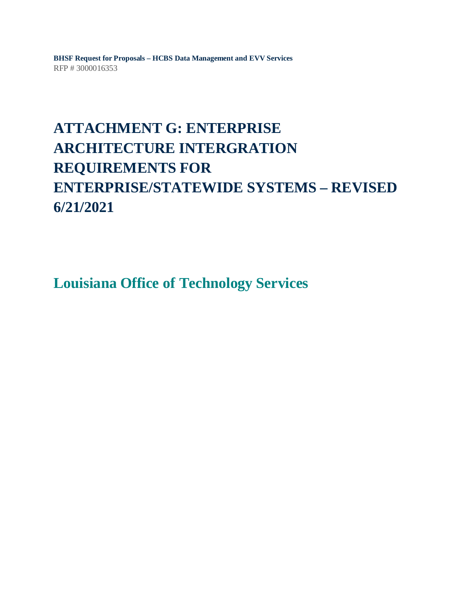**BHSF Request for Proposals – HCBS Data Management and EVV Services** RFP # 3000016353

# **ATTACHMENT G: ENTERPRISE ARCHITECTURE INTERGRATION REQUIREMENTS FOR ENTERPRISE/STATEWIDE SYSTEMS – REVISED 6/21/2021**

**Louisiana Office of Technology Services**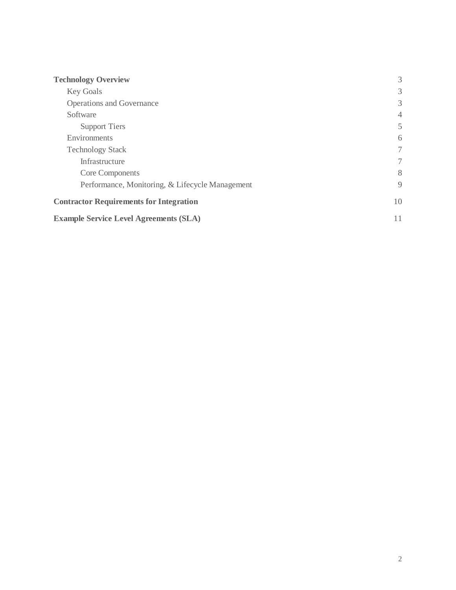| <b>Technology Overview</b>                      | 3              |
|-------------------------------------------------|----------------|
| <b>Key Goals</b>                                | 3              |
| <b>Operations and Governance</b>                | 3              |
| Software                                        | $\overline{4}$ |
| <b>Support Tiers</b>                            | 5              |
| Environments                                    | 6              |
| <b>Technology Stack</b>                         | 7              |
| Infrastructure                                  | 7              |
| Core Components                                 | 8              |
| Performance, Monitoring, & Lifecycle Management | 9              |
| <b>Contractor Requirements for Integration</b>  | 10             |
| <b>Example Service Level Agreements (SLA)</b>   | 11             |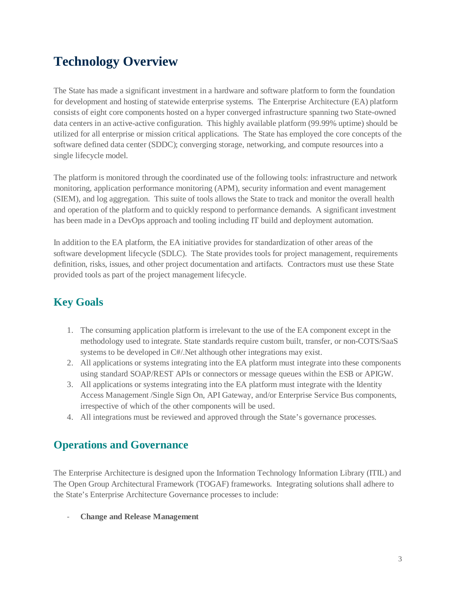# <span id="page-2-0"></span>**Technology Overview**

The State has made a significant investment in a hardware and software platform to form the foundation for development and hosting of statewide enterprise systems. The Enterprise Architecture (EA) platform consists of eight core components hosted on a hyper converged infrastructure spanning two State-owned data centers in an active-active configuration. This highly available platform (99.99% uptime) should be utilized for all enterprise or mission critical applications. The State has employed the core concepts of the software defined data center (SDDC); converging storage, networking, and compute resources into a single lifecycle model.

The platform is monitored through the coordinated use of the following tools: infrastructure and network monitoring, application performance monitoring (APM), security information and event management (SIEM), and log aggregation. This suite of tools allows the State to track and monitor the overall health and operation of the platform and to quickly respond to performance demands. A significant investment has been made in a DevOps approach and tooling including IT build and deployment automation.

In addition to the EA platform, the EA initiative provides for standardization of other areas of the software development lifecycle (SDLC). The State provides tools for project management, requirements definition, risks, issues, and other project documentation and artifacts. Contractors must use these State provided tools as part of the project management lifecycle.

## <span id="page-2-1"></span>**Key Goals**

- 1. The consuming application platform is irrelevant to the use of the EA component except in the methodology used to integrate. State standards require custom built, transfer, or non-COTS/SaaS systems to be developed in C#/.Net although other integrations may exist.
- 2. All applications or systems integrating into the EA platform must integrate into these components using standard SOAP/REST APIs or connectors or message queues within the ESB or APIGW.
- 3. All applications or systems integrating into the EA platform must integrate with the Identity Access Management /Single Sign On, API Gateway, and/or Enterprise Service Bus components, irrespective of which of the other components will be used.
- 4. All integrations must be reviewed and approved through the State's governance processes.

## <span id="page-2-2"></span>**Operations and Governance**

The Enterprise Architecture is designed upon the Information Technology Information Library (ITIL) and The Open Group Architectural Framework (TOGAF) frameworks. Integrating solutions shall adhere to the State's Enterprise Architecture Governance processes to include:

- **Change and Release Management**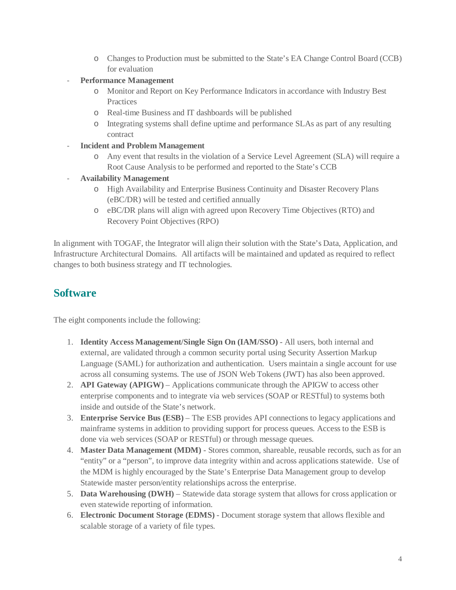- o Changes to Production must be submitted to the State's EA Change Control Board (CCB) for evaluation
- Performance Management
	- o Monitor and Report on Key Performance Indicators in accordance with Industry Best **Practices**
	- o Real-time Business and IT dashboards will be published
	- o Integrating systems shall define uptime and performance SLAs as part of any resulting contract
- **Incident and Problem Management**
	- o Any event that results in the violation of a Service Level Agreement (SLA) will require a Root Cause Analysis to be performed and reported to the State's CCB
- **Availability Management**
	- o High Availability and Enterprise Business Continuity and Disaster Recovery Plans (eBC/DR) will be tested and certified annually
	- o eBC/DR plans will align with agreed upon Recovery Time Objectives (RTO) and Recovery Point Objectives (RPO)

In alignment with TOGAF, the Integrator will align their solution with the State's Data, Application, and Infrastructure Architectural Domains. All artifacts will be maintained and updated as required to reflect changes to both business strategy and IT technologies.

### <span id="page-3-0"></span>**Software**

The eight components include the following:

- 1. **Identity Access Management/Single Sign On (IAM/SSO)** All users, both internal and external, are validated through a common security portal using Security Assertion Markup Language (SAML) for authorization and authentication. Users maintain a single account for use across all consuming systems. The use of JSON Web Tokens (JWT) has also been approved.
- 2. **API Gateway (APIGW)** Applications communicate through the APIGW to access other enterprise components and to integrate via web services (SOAP or RESTful) to systems both inside and outside of the State's network.
- 3. **Enterprise Service Bus (ESB)** The ESB provides API connections to legacy applications and mainframe systems in addition to providing support for process queues. Access to the ESB is done via web services (SOAP or RESTful) or through message queues.
- 4. **Master Data Management (MDM)** Stores common, shareable, reusable records, such as for an "entity" or a "person", to improve data integrity within and across applications statewide. Use of the MDM is highly encouraged by the State's Enterprise Data Management group to develop Statewide master person/entity relationships across the enterprise.
- 5. **Data Warehousing (DWH)** Statewide data storage system that allows for cross application or even statewide reporting of information.
- 6. **Electronic Document Storage (EDMS)** Document storage system that allows flexible and scalable storage of a variety of file types.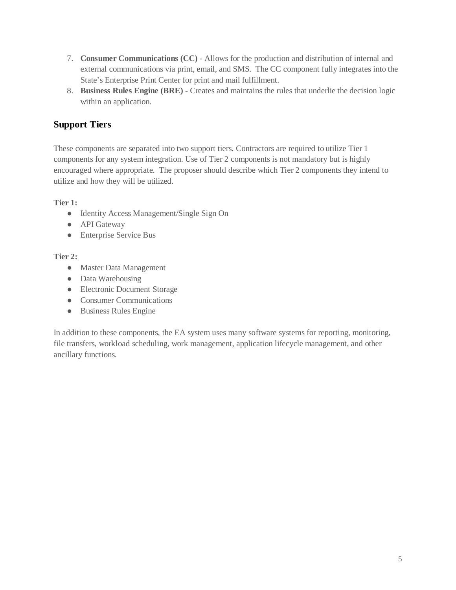- 7. **Consumer Communications (CC)** Allows for the production and distribution of internal and external communications via print, email, and SMS. The CC component fully integrates into the State's Enterprise Print Center for print and mail fulfillment.
- 8. **Business Rules Engine (BRE)** Creates and maintains the rules that underlie the decision logic within an application.

## <span id="page-4-0"></span>**Support Tiers**

These components are separated into two support tiers. Contractors are required to utilize Tier 1 components for any system integration. Use of Tier 2 components is not mandatory but is highly encouraged where appropriate. The proposer should describe which Tier 2 components they intend to utilize and how they will be utilized.

**Tier 1:** 

- Identity Access Management/Single Sign On
- API Gateway
- Enterprise Service Bus

### **Tier 2:**

- Master Data Management
- Data Warehousing
- Electronic Document Storage
- Consumer Communications
- Business Rules Engine

In addition to these components, the EA system uses many software systems for reporting, monitoring, file transfers, workload scheduling, work management, application lifecycle management, and other ancillary functions.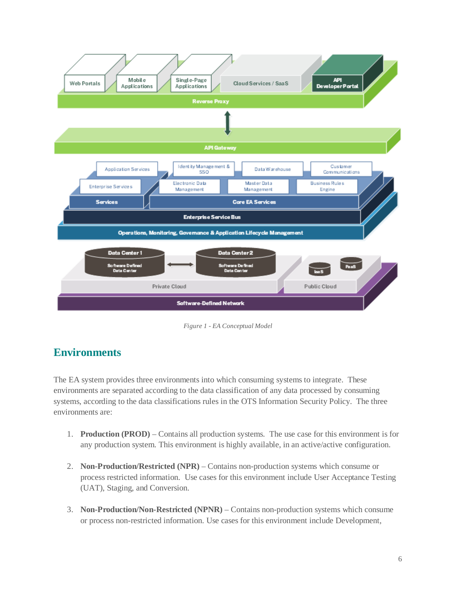

*Figure 1 - EA Conceptual Model*

## <span id="page-5-0"></span>**Environments**

The EA system provides three environments into which consuming systems to integrate. These environments are separated according to the data classification of any data processed by consuming systems, according to the data classifications rules in the OTS Information Security Policy. The three environments are:

- 1. **Production (PROD)** Contains all production systems. The use case for this environment is for any production system. This environment is highly available, in an active/active configuration.
- 2. **Non-Production/Restricted (NPR)** Contains non-production systems which consume or process restricted information. Use cases for this environment include User Acceptance Testing (UAT), Staging, and Conversion.
- 3. **Non-Production/Non-Restricted (NPNR)** Contains non-production systems which consume or process non-restricted information. Use cases for this environment include Development,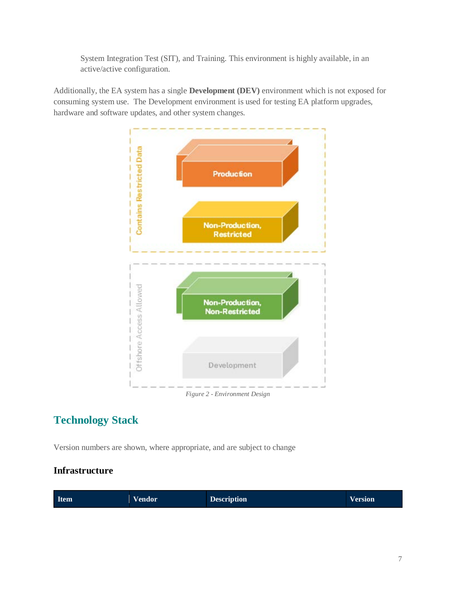System Integration Test (SIT), and Training. This environment is highly available, in an active/active configuration.

Additionally, the EA system has a single **Development (DEV)** environment which is not exposed for consuming system use. The Development environment is used for testing EA platform upgrades, hardware and software updates, and other system changes.



## <span id="page-6-0"></span>**Technology Stack**

Version numbers are shown, where appropriate, and are subject to change

### <span id="page-6-1"></span>**Infrastructure**

| <b>Item</b><br><b>Vendor</b> | <b>Description</b> | <b>Version</b> |
|------------------------------|--------------------|----------------|
|------------------------------|--------------------|----------------|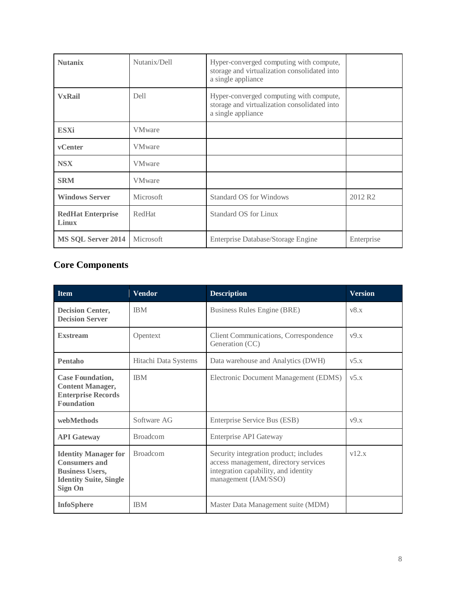| <b>Nutanix</b>                    | Nutanix/Dell   | Hyper-converged computing with compute,<br>storage and virtualization consolidated into<br>a single appliance |                     |
|-----------------------------------|----------------|---------------------------------------------------------------------------------------------------------------|---------------------|
| <b>VxRail</b>                     | Dell           | Hyper-converged computing with compute,<br>storage and virtualization consolidated into<br>a single appliance |                     |
| <b>ESXi</b>                       | <b>VMware</b>  |                                                                                                               |                     |
| vCenter                           | <b>VM</b> ware |                                                                                                               |                     |
| <b>NSX</b>                        | <b>VMware</b>  |                                                                                                               |                     |
| <b>SRM</b>                        | <b>VMware</b>  |                                                                                                               |                     |
| <b>Windows Server</b>             | Microsoft      | <b>Standard OS for Windows</b>                                                                                | 2012 R <sub>2</sub> |
| <b>RedHat Enterprise</b><br>Linux | RedHat         | <b>Standard OS for Linux</b>                                                                                  |                     |
| MS SQL Server 2014                | Microsoft      | Enterprise Database/Storage Engine                                                                            | Enterprise          |

## <span id="page-7-0"></span>**Core Components**

| <b>Item</b>                                                                                                               | <b>Vendor</b>        | <b>Description</b>                                                                                                                              | <b>Version</b>     |
|---------------------------------------------------------------------------------------------------------------------------|----------------------|-------------------------------------------------------------------------------------------------------------------------------------------------|--------------------|
| <b>Decision Center,</b><br><b>Decision Server</b>                                                                         | <b>IBM</b>           | Business Rules Engine (BRE)                                                                                                                     | v8.x               |
| <b>Exstream</b>                                                                                                           | Opentext             | Client Communications, Correspondence<br>Generation (CC)                                                                                        | v9.x               |
| Pentaho                                                                                                                   | Hitachi Data Systems | Data warehouse and Analytics (DWH)                                                                                                              | V <sub>2</sub> x   |
| <b>Case Foundation,</b><br><b>Content Manager,</b><br><b>Enterprise Records</b><br><b>Foundation</b>                      | <b>IBM</b>           | Electronic Document Management (EDMS)                                                                                                           | V <sub>2</sub> 5.X |
| webMethods                                                                                                                | Software AG          | Enterprise Service Bus (ESB)                                                                                                                    | v9.x               |
| <b>API</b> Gateway                                                                                                        | <b>Broadcom</b>      | Enterprise API Gateway                                                                                                                          |                    |
| <b>Identity Manager for</b><br><b>Consumers and</b><br><b>Business Users,</b><br><b>Identity Suite, Single</b><br>Sign On | <b>Broadcom</b>      | Security integration product; includes<br>access management, directory services<br>integration capability, and identity<br>management (IAM/SSO) | v12.x              |
| <b>InfoSphere</b>                                                                                                         | <b>IBM</b>           | Master Data Management suite (MDM)                                                                                                              |                    |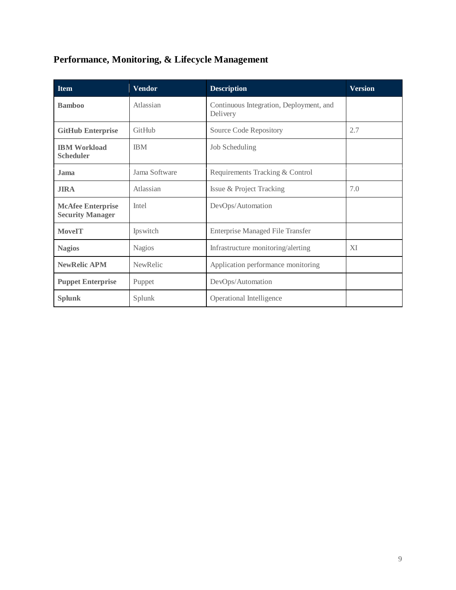## <span id="page-8-0"></span>**Performance, Monitoring, & Lifecycle Management**

| <b>Item</b>                                         | <b>Vendor</b>   | <b>Description</b>                                  | <b>Version</b> |
|-----------------------------------------------------|-----------------|-----------------------------------------------------|----------------|
| <b>Bamboo</b>                                       | Atlassian       | Continuous Integration, Deployment, and<br>Delivery |                |
| <b>GitHub Enterprise</b>                            | GitHub          | Source Code Repository                              | 2.7            |
| <b>IBM Workload</b><br><b>Scheduler</b>             | <b>IBM</b>      | Job Scheduling                                      |                |
| <b>Jama</b>                                         | Jama Software   | Requirements Tracking & Control                     |                |
| <b>JIRA</b>                                         | Atlassian       | Issue & Project Tracking                            | 7.0            |
| <b>McAfee Enterprise</b><br><b>Security Manager</b> | Intel           | DevOps/Automation                                   |                |
| <b>MoveIT</b>                                       | Ipswitch        | <b>Enterprise Managed File Transfer</b>             |                |
| <b>Nagios</b>                                       | <b>Nagios</b>   | Infrastructure monitoring/alerting                  | XI             |
| <b>NewRelic APM</b>                                 | <b>NewRelic</b> | Application performance monitoring                  |                |
| <b>Puppet Enterprise</b>                            | Puppet          | DevOps/Automation                                   |                |
| <b>Splunk</b>                                       | Splunk          | Operational Intelligence                            |                |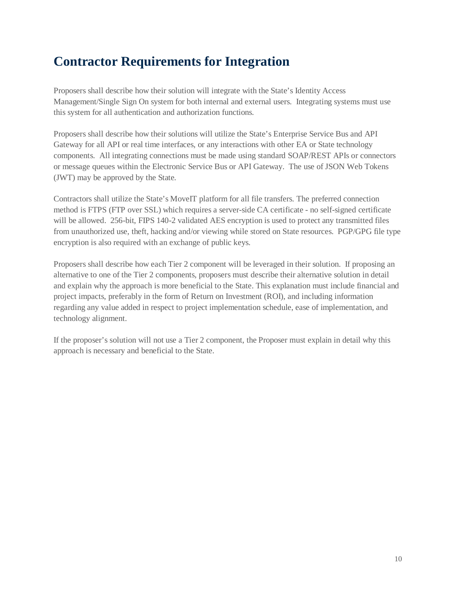# <span id="page-9-0"></span>**Contractor Requirements for Integration**

Proposers shall describe how their solution will integrate with the State's Identity Access Management/Single Sign On system for both internal and external users. Integrating systems must use this system for all authentication and authorization functions.

Proposers shall describe how their solutions will utilize the State's Enterprise Service Bus and API Gateway for all API or real time interfaces, or any interactions with other EA or State technology components. All integrating connections must be made using standard SOAP/REST APIs or connectors or message queues within the Electronic Service Bus or API Gateway. The use of JSON Web Tokens (JWT) may be approved by the State.

Contractors shall utilize the State's MoveIT platform for all file transfers. The preferred connection method is FTPS (FTP over SSL) which requires a server-side CA certificate - no self-signed certificate will be allowed. 256-bit, FIPS 140-2 validated AES encryption is used to protect any transmitted files from unauthorized use, theft, hacking and/or viewing while stored on State resources. PGP/GPG file type encryption is also required with an exchange of public keys.

Proposers shall describe how each Tier 2 component will be leveraged in their solution. If proposing an alternative to one of the Tier 2 components, proposers must describe their alternative solution in detail and explain why the approach is more beneficial to the State. This explanation must include financial and project impacts, preferably in the form of Return on Investment (ROI), and including information regarding any value added in respect to project implementation schedule, ease of implementation, and technology alignment.

If the proposer's solution will not use a Tier 2 component, the Proposer must explain in detail why this approach is necessary and beneficial to the State.